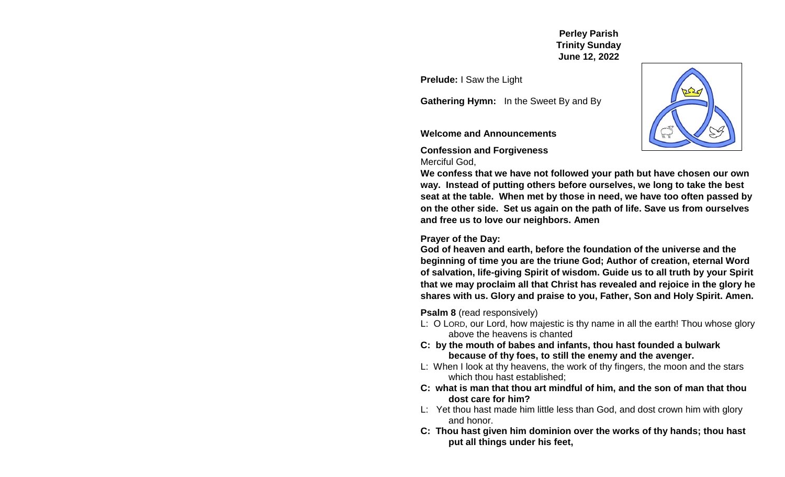**Perley Parish Trinity Sunday June 12, 2022**

**Prelude:** I Saw the Light

**Gathering Hymn:** In the Sweet By and By

### **Welcome and Announcements**

**Confession and Forgiveness** Merciful God,

**We confess that we have not followed your path but have chosen our own way. Instead of putting others before ourselves, we long to take the best seat at the table. When met by those in need, we have too often passed by on the other side. Set us again on the path of life. Save us from ourselves and free us to love our neighbors. Amen**

### **Prayer of the Day:**

**God of heaven and earth, before the foundation of the universe and the beginning of time you are the triune God; Author of creation, eternal Word of salvation, life-giving Spirit of wisdom. Guide us to all truth by your Spirit that we may proclaim all that Christ has revealed and rejoice in the glory he shares with us. Glory and praise to you, Father, Son and Holy Spirit. Amen.** 

**Psalm 8** (read responsively)

- L: O LORD, our Lord, how majestic is thy name in all the earth! Thou whose glory above the heavens is chanted
- **C: by the mouth of babes and infants, thou hast founded a bulwark because of thy foes, to still the enemy and the avenger.**
- L: When I look at thy heavens, the work of thy fingers, the moon and the stars which thou hast established;
- **C: what is man that thou art mindful of him, and the son of man that thou dost care for him?**
- L:Yet thou hast made him little less than God, and dost crown him with glory and honor.
- **C: Thou hast given him dominion over the works of thy hands; thou hast put all things under his feet,**

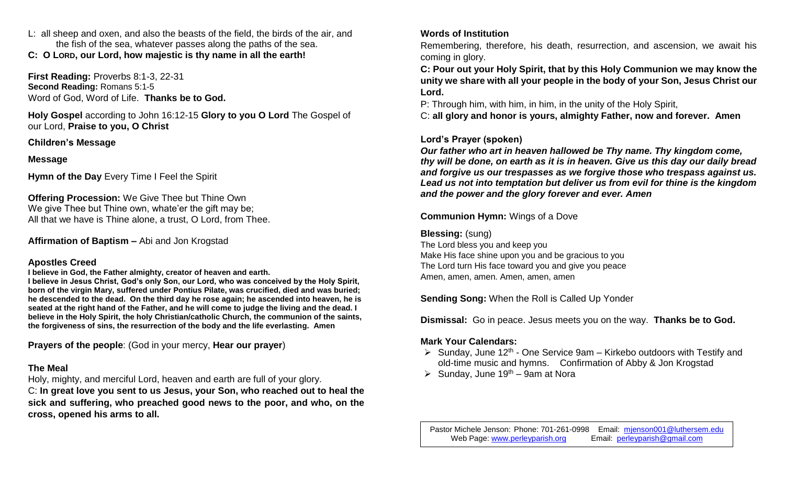L:all sheep and oxen, and also the beasts of the field, the birds of the air, and the fish of the sea, whatever passes along the paths of the sea.

**C: O LORD, our Lord, how majestic is thy name in all the earth!**

**First Reading:** Proverbs 8:1-3, 22-31 **Second Reading:** Romans 5:1-5 Word of God, Word of Life. **Thanks be to God.**

**Holy Gospel** according to John 16:12-15 **Glory to you O Lord** The Gospel of our Lord, **Praise to you, O Christ**

## **Children's Message**

## **Message**

**Hymn of the Day** Every Time I Feel the Spirit

**Offering Procession:** We Give Thee but Thine Own We give Thee but Thine own, whate'er the gift may be; All that we have is Thine alone, a trust, O Lord, from Thee.

**Affirmation of Baptism –** Abi and Jon Krogstad

## **Apostles Creed**

**I believe in God, the Father almighty, creator of heaven and earth.** 

**I believe in Jesus Christ, God's only Son, our Lord, who was conceived by the Holy Spirit, born of the virgin Mary, suffered under Pontius Pilate, was crucified, died and was buried; he descended to the dead. On the third day he rose again; he ascended into heaven, he is seated at the right hand of the Father, and he will come to judge the living and the dead. I believe in the Holy Spirit, the holy Christian/catholic Church, the communion of the saints, the forgiveness of sins, the resurrection of the body and the life everlasting. Amen**

**Prayers of the people**: (God in your mercy, **Hear our prayer**)

## **The Meal**

Holy, mighty, and merciful Lord, heaven and earth are full of your glory.

C: **In great love you sent to us Jesus, your Son, who reached out to heal the sick and suffering, who preached good news to the poor, and who, on the cross, opened his arms to all.**

# **Words of Institution**

Remembering, therefore, his death, resurrection, and ascension, we await his coming in glory.

**C: Pour out your Holy Spirit, that by this Holy Communion we may know the unity we share with all your people in the body of your Son, Jesus Christ our Lord.**

P: Through him, with him, in him, in the unity of the Holy Spirit,

C: **all glory and honor is yours, almighty Father, now and forever. Amen**

## **Lord's Prayer (spoken)**

*Our father who art in heaven hallowed be Thy name. Thy kingdom come, thy will be done, on earth as it is in heaven. Give us this day our daily bread and forgive us our trespasses as we forgive those who trespass against us. Lead us not into temptation but deliver us from evil for thine is the kingdom and the power and the glory forever and ever. Amen*

**Communion Hymn:** Wings of a Dove

## **Blessing:** (sung)

The Lord bless you and keep you Make His face shine upon you and be gracious to you The Lord turn His face toward you and give you peace Amen, amen, amen. Amen, amen, amen

**Sending Song:** When the Roll is Called Up Yonder

**Dismissal:** Go in peace. Jesus meets you on the way. **Thanks be to God.** 

# **Mark Your Calendars:**

- $\triangleright$  Sunday, June 12<sup>th</sup> One Service 9am Kirkebo outdoors with Testify and old-time music and hymns. Confirmation of Abby & Jon Krogstad
- $\triangleright$  Sunday, June 19<sup>th</sup> 9am at Nora

Pastor Michele Jenson: Phone: 701-261-0998 Email: [mjenson001@luthersem.edu](mailto:mjenson001@luthersem.edu) Web Page: [www.perleyparish.org](http://www.perleyparish.org/) Email: [perleyparish@gmail.com](mailto:perleyparish@gmail.com)